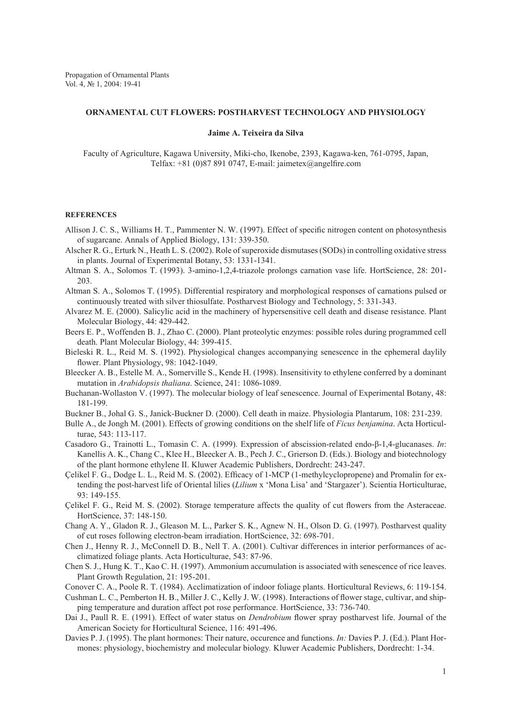## **ORNAMENTAL CUT FLOWERS: POSTHARVEST TECHNOLOGY AND PHYSIOLOGY**

## **Jaime A. Teixeira da Silva**

Faculty of Agriculture, Kagawa University, Miki-cho, Ikenobe, 2393, Kagawa-ken, 761-0795, Japan, Telfax:  $+81$  (0)87 891 0747, E-mail: jaimetex@angelfire.com

## **REFERENCES**

- Allison J. C. S., Williams H. T., Pammenter N. W. (1997). Effect of specific nitrogen content on photosynthesis of sugarcane. Annals of Applied Biology, 131: 339-350.
- Alscher R. G., Erturk N., Heath L. S. (2002). Role of superoxide dismutases (SODs) in controlling oxidative stress in plants. Journal of Experimental Botany, 53: 1331-1341.
- Altman S. A., Solomos T. (1993). 3-amino-1,2,4-triazole prolongs carnation vase life. HortScience, 28: 201- 203.
- Altman S. A., Solomos T. (1995). Differential respiratory and morphological responses of carnations pulsed or continuously treated with silver thiosulfate. Postharvest Biology and Technology, 5: 331-343.
- Alvarez M. E. (2000). Salicylic acid in the machinery of hypersensitive cell death and disease resistance. Plant Molecular Biology, 44: 429-442.
- Beers E. P., Woffenden B. J., Zhao C. (2000). Plant proteolytic enzymes: possible roles during programmed cell death. Plant Molecular Biology, 44: 399-415.
- Bieleski R. L., Reid M. S. (1992). Physiological changes accompanying senescence in the ephemeral daylily flower. Plant Physiology, 98: 1042-1049.
- Bleecker A. B., Estelle M. A., Somerville S., Kende H. (1998). Insensitivity to ethylene conferred by a dominant mutation in *Arabidopsis thaliana*. Science, 241: 1086-1089.
- Buchanan-Wollaston V. (1997). The molecular biology of leaf senescence. Journal of Experimental Botany, 48: 181-199.
- Buckner B., Johal G. S., Janick-Buckner D. (2000). Cell death in maize. Physiologia Plantarum, 108: 231-239.
- Bulle A., de Jongh M. (2001). Effects of growing conditions on the shelf life of *Ficus benjamina*. Acta Horticulturae, 543: 113-117.
- Casadoro G., Trainotti L., Tomasin C. A. (1999). Expression of abscission-related endo-β-1,4-glucanases. *In*: Kanellis A. K., Chang C., Klee H., Bleecker A. B., Pech J. C., Grierson D. (Eds.). Biology and biotechnology of the plant hormone ethylene II. Kluwer Academic Publishers, Dordrecht: 243-247.
- Çelikel F. G., Dodge L. L., Reid M. S. (2002). Efficacy of 1-MCP (1-methylcyclopropene) and Promalin for extending the post-harvest life of Oriental lilies (*Lilium* x 'Mona Lisa' and 'Stargazer'). Scientia Horticulturae, 93: 149-155.
- Çelikel F. G., Reid M. S. (2002). Storage temperature affects the quality of cut flowers from the Asteraceae. HortScience, 37: 148-150.
- Chang A. Y., Gladon R. J., Gleason M. L., Parker S. K., Agnew N. H., Olson D. G. (1997). Postharvest quality of cut roses following electron-beam irradiation. HortScience, 32: 698-701.
- Chen J., Henny R. J., McConnell D. B., Nell T. A. (2001). Cultivar differences in interior performances of acclimatized foliage plants. Acta Horticulturae, 543: 87-96.
- Chen S. J., Hung K. T., Kao C. H. (1997). Ammonium accumulation is associated with senescence of rice leaves. Plant Growth Regulation, 21: 195-201.
- Conover C. A., Poole R. T. (1984). Acclimatization of indoor foliage plants. Horticultural Reviews, 6: 119-154.
- Cushman L. C., Pemberton H. B., Miller J. C., Kelly J. W. (1998). Interactions of flower stage, cultivar, and shipping temperature and duration affect pot rose performance. HortScience, 33: 736-740.
- Dai J., Paull R. E. (1991). Effect of water status on *Dendrobium* flower spray postharvest life. Journal of the American Society for Horticultural Science, 116: 491-496.
- Davies P. J. (1995). The plant hormones: Their nature, occurence and functions. *In:* Davies P. J. (Ed.). Plant Hormones: physiology, biochemistry and molecular biology*.* Kluwer Academic Publishers, Dordrecht: 1-34.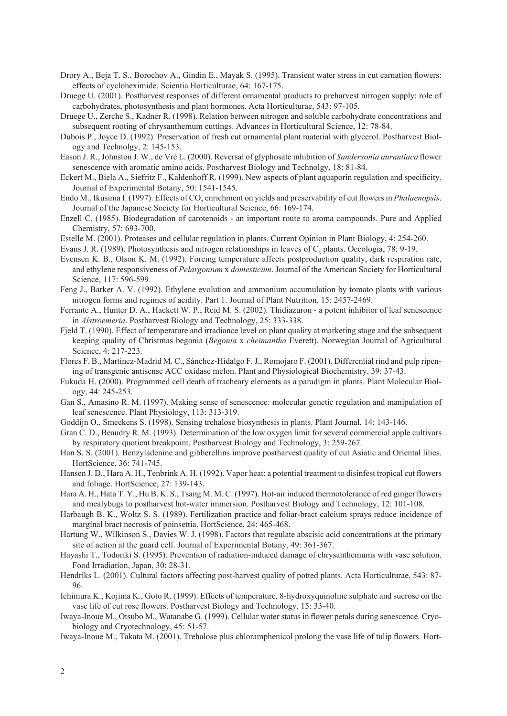- Drory A., Beja T. S., Borochov A., Gindin E., Mayak S. (1995). Transient water stress in cut carnation flowers: effects of cycloheximide. Scientia Horticulturae, 64: 167-175.
- Druege U. (2001). Postharvest responses of different ornamental products to preharvest nitrogen supply: role of carbohydrates, photosynthesis and plant hormones. Acta Horticulturae, 543: 97-105.
- Druege U., Zerche S., Kadner R. (1998). Relation between nitrogen and soluble carbohydrate concentrations and subsequent rooting of chrysanthemum cuttings. Advances in Horticultural Science, 12: 78-84.
- Dubois P., Joyce D. (1992). Preservation of fresh cut ornamental plant material with glycerol. Postharvest Biology and Technolgy, 2: 145-153.
- Eason J. R., Johnston J. W., de Vré L. (2000). Reversal of glyphosate inhibition of *Sandersonia aurantiaca* flower senescence with aromatic amino acids. Postharvest Biology and Technolgy, 18: 81-84.
- Eckert M., Biela A., Siefritz F., Kaldenhoff R. (1999). New aspects of plant aquaporin regulation and specificity. Journal of Experimental Botany, 50: 1541-1545.
- Endo M., Ikusima I. (1997). Effects of CO<sub>2</sub> enrichment on yields and preservability of cut flowers in *Phalaenopsis*. Journal of the Japanese Society for Horticultural Science, 66: 169-174.
- Enzell C. (1985). Biodegradation of carotenoids an important route to aroma compounds. Pure and Applied Chemistry, 57: 693-700.
- Estelle M. (2001). Proteases and cellular regulation in plants. Current Opinion in Plant Biology, 4: 254-260.

Evans J. R. (1989). Photosynthesis and nitrogen relationships in leaves of  $C_3$  plants. Oecologia, 78: 9-19.

- Evensen K. B., Olson K. M. (1992). Forcing temperature affects postproduction quality, dark respiration rate, and ethylene responsiveness of *Pelargonium* x *domesticum*. Journal of the American Society for Horticultural Science, 117: 596-599.
- Feng J., Barker A. V. (1992). Ethylene evolution and ammonium accumulation by tomato plants with various nitrogen forms and regimes of acidity. Part 1. Journal of Plant Nutrition, 15: 2457-2469.
- Ferrante A., Hunter D. A., Hackett W. P., Reid M. S. (2002). Thidiazuron a potent inhibitor of leaf senescence in *Alstroemeria*. Postharvest Biology and Technology, 25: 333-338.
- Fjeld T. (1990). Effect of temperature and irradiance level on plant quality at marketing stage and the subsequent keeping quality of Christmas begonia (*Begonia* x *cheimantha* Everett). Norwegian Journal of Agricultural Science, 4: 217-223.
- Flores F. B., Martínez-Madrid M. C., Sánchez-Hidalgo F. J., Romojaro F. (2001). Differential rind and pulp ripening of transgenic antisense ACC oxidase melon. Plant and Physiological Biochemistry, 39: 37-43.
- Fukuda H. (2000). Programmed cell death of tracheary elements as a paradigm in plants. Plant Molecular Biology, 44: 245-253.

Gan S., Amasino R. M. (1997). Making sense of senescence: molecular genetic regulation and manipulation of leaf senescence. Plant Physiology, 113: 313-319.

- Goddijn O., Smeekens S. (1998). Sensing trehalose biosynthesis in plants. Plant Journal, 14: 143-146.
- Gran C. D., Beaudry R. M. (1993). Determination of the low oxygen limit for several commercial apple cultivars by respiratory quotient breakpoint. Postharvest Biology and Technology, 3: 259-267.
- Han S. S. (2001). Benzyladenine and gibberellins improve postharvest quality of cut Asiatic and Oriental lilies. HortScience, 36: 741-745.
- Hansen J. D., Hara A. H., Tenbrink A. H. (1992). Vapor heat: a potential treatment to disinfest tropical cut flowers and foliage. HortScience, 27: 139-143.
- Hara A. H., Hata T. Y., Hu B. K. S., Tsang M. M. C. (1997). Hot-air induced thermotolerance of red ginger flowers and mealybugs to postharvest hot-water immersion. Postharvest Biology and Technology, 12: 101-108.
- Harbaugh B. K., Woltz S. S. (1989). Fertilization practice and foliar-bract calcium sprays reduce incidence of marginal bract necrosis of poinsettia. HortScience, 24: 465-468.
- Hartung W., Wilkinson S., Davies W. J. (1998). Factors that regulate abscisic acid concentrations at the primary site of action at the guard cell. Journal of Experimental Botany, 49: 361-367.
- Hayashi T., Todoriki S. (1995). Prevention of radiation-induced damage of chrysanthemums with vase solution. Food Irradiation, Japan, 30: 28-31.
- Hendriks L. (2001). Cultural factors affecting post-harvest quality of potted plants. Acta Horticulturae, 543: 87- 96.
- Ichimura K., Kojima K., Goto R. (1999). Effects of temperature, 8-hydroxyquinoline sulphate and sucrose on the vase life of cut rose flowers. Postharvest Biology and Technology, 15: 33-40.
- Iwaya-Inoue M., Otsubo M., Watanabe G. (1999). Cellular water status in flower petals during senescence. Cryobiology and Cryotechnology, 45: 51-57.
- Iwaya-Inoue M., Takata M. (2001). Trehalose plus chloramphenicol prolong the vase life of tulip flowers. Hort-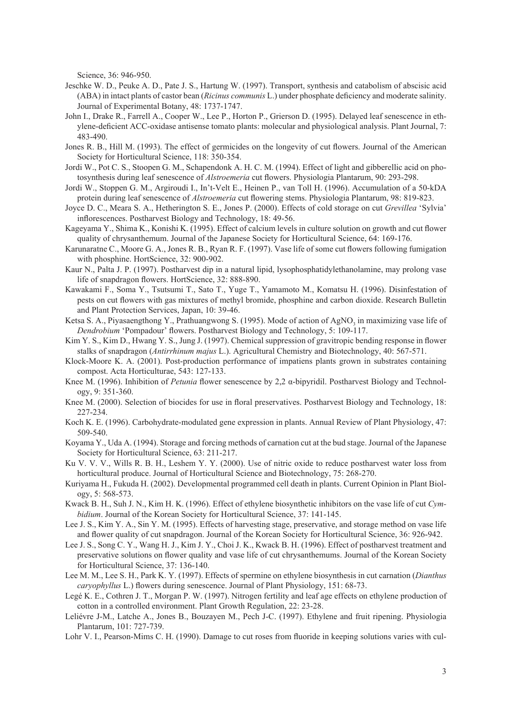Science, 36: 946-950.

- Jeschke W. D., Peuke A. D., Pate J. S., Hartung W. (1997). Transport, synthesis and catabolism of abscisic acid (ABA) in intact plants of castor bean (*Ricinus communis* L.) under phosphate deficiency and moderate salinity. Journal of Experimental Botany, 48: 1737-1747.
- John I., Drake R., Farrell A., Cooper W., Lee P., Horton P., Grierson D. (1995). Delayed leaf senescence in ethylene-deficient ACC-oxidase antisense tomato plants: molecular and physiological analysis. Plant Journal, 7: 483-490.
- Jones R. B., Hill M. (1993). The effect of germicides on the longevity of cut flowers. Journal of the American Society for Horticultural Science, 118: 350-354.
- Jordi W., Pot C. S., Stoopen G. M., Schapendonk A. H. C. M. (1994). Effect of light and gibberellic acid on photosynthesis during leaf senescence of *Alstroemeria* cut flowers. Physiologia Plantarum, 90: 293-298.
- Jordi W., Stoppen G. M., Argiroudi I., In't-Velt E., Heinen P., van Toll H. (1996). Accumulation of a 50-kDA protein during leaf senescence of *Alstroemeria* cut flowering stems. Physiologia Plantarum, 98: 819-823.
- Joyce D. C., Meara S. A., Hetherington S. E., Jones P. (2000). Effects of cold storage on cut *Grevillea* 'Sylvia' inflorescences. Postharvest Biology and Technology, 18: 49-56.
- Kageyama Y., Shima K., Konishi K. (1995). Effect of calcium levels in culture solution on growth and cut flower quality of chrysanthemum. Journal of the Japanese Society for Horticultural Science, 64: 169-176.
- Karunaratne C., Moore G. A., Jones R. B., Ryan R. F. (1997). Vase life of some cut flowers following fumigation with phosphine. HortScience, 32: 900-902.
- Kaur N., Palta J. P. (1997). Postharvest dip in a natural lipid, lysophosphatidylethanolamine, may prolong vase life of snapdragon flowers. HortScience, 32: 888-890.
- Kawakami F., Soma Y., Tsutsumi T., Sato T., Yuge T., Yamamoto M., Komatsu H. (1996). Disinfestation of pests on cut flowers with gas mixtures of methyl bromide, phosphine and carbon dioxide. Research Bulletin and Plant Protection Services, Japan, 10: 39-46.
- Ketsa S. A., Piyasaengthong Y., Prathuangwong S. (1995). Mode of action of AgNO<sub>3</sub> in maximizing vase life of *Dendrobium* 'Pompadour' flowers. Postharvest Biology and Technology, 5: 109-117.
- Kim Y. S., Kim D., Hwang Y. S., Jung J. (1997). Chemical suppression of gravitropic bending response in flower stalks of snapdragon (*Antirrhinum majus* L.). Agricultural Chemistry and Biotechnology, 40: 567-571.
- Klock-Moore K. A. (2001). Post-production performance of impatiens plants grown in substrates containing compost. Acta Horticulturae, 543: 127-133.
- Knee M. (1996). Inhibition of *Petunia* flower senescence by 2,2 α-bipyridil. Postharvest Biology and Technology, 9: 351-360.
- Knee M. (2000). Selection of biocides for use in floral preservatives. Postharvest Biology and Technology, 18: 227-234.
- Koch K. E. (1996). Carbohydrate-modulated gene expression in plants. Annual Review of Plant Physiology, 47: 509-540.
- Koyama Y., Uda A. (1994). Storage and forcing methods of carnation cut at the bud stage. Journal of the Japanese Society for Horticultural Science, 63: 211-217.
- Ku V. V. V., Wills R. B. H., Leshem Y. Y. (2000). Use of nitric oxide to reduce postharvest water loss from horticultural produce. Journal of Horticultural Science and Biotechnology, 75: 268-270.
- Kuriyama H., Fukuda H. (2002). Developmental programmed cell death in plants. Current Opinion in Plant Biology, 5: 568-573.
- Kwack B. H., Suh J. N., Kim H. K. (1996). Effect of ethylene biosynthetic inhibitors on the vase life of cut *Cymbidium*. Journal of the Korean Society for Horticultural Science, 37: 141-145.
- Lee J. S., Kim Y. A., Sin Y. M. (1995). Effects of harvesting stage, preservative, and storage method on vase life and flower quality of cut snapdragon. Journal of the Korean Society for Horticultural Science, 36: 926-942.
- Lee J. S., Song C. Y., Wang H. J., Kim J. Y., Choi J. K., Kwack B. H. (1996). Effect of postharvest treatment and preservative solutions on flower quality and vase life of cut chrysanthemums. Journal of the Korean Society for Horticultural Science, 37: 136-140.
- Lee M. M., Lee S. H., Park K. Y. (1997). Effects of spermine on ethylene biosynthesis in cut carnation (*Dianthus caryophyllus* L.) flowers during senescence. Journal of Plant Physiology, 151: 68-73.
- Legé K. E., Cothren J. T., Morgan P. W. (1997). Nitrogen fertility and leaf age effects on ethylene production of cotton in a controlled environment. Plant Growth Regulation, 22: 23-28.
- Leliévre J-M., Latche A., Jones B., Bouzayen M., Pech J-C. (1997). Ethylene and fruit ripening. Physiologia Plantarum, 101: 727-739.
- Lohr V. I., Pearson-Mims C. H. (1990). Damage to cut roses from fluoride in keeping solutions varies with cul-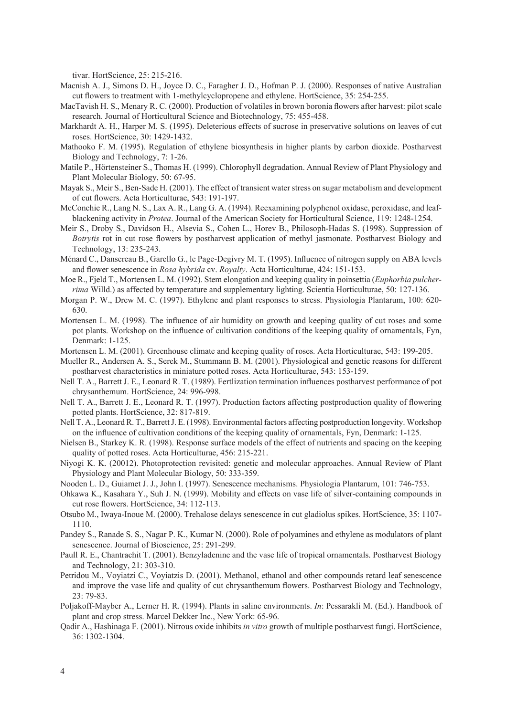tivar. HortScience, 25: 215-216.

- Macnish A. J., Simons D. H., Joyce D. C., Faragher J. D., Hofman P. J. (2000). Responses of native Australian cut flowers to treatment with 1-methylcyclopropene and ethylene. HortScience, 35: 254-255.
- MacTavish H. S., Menary R. C. (2000). Production of volatiles in brown boronia flowers after harvest: pilot scale research. Journal of Horticultural Science and Biotechnology, 75: 455-458.
- Markhardt A. H., Harper M. S. (1995). Deleterious effects of sucrose in preservative solutions on leaves of cut roses. HortScience, 30: 1429-1432.
- Mathooko F. M. (1995). Regulation of ethylene biosynthesis in higher plants by carbon dioxide. Postharvest Biology and Technology, 7: 1-26.
- Matile P., Hörtensteiner S., Thomas H. (1999). Chlorophyll degradation. Annual Review of Plant Physiology and Plant Molecular Biology, 50: 67-95.
- Mayak S., Meir S., Ben-Sade H. (2001). The effect of transient water stress on sugar metabolism and development of cut flowers. Acta Horticulturae, 543: 191-197.
- McConchie R., Lang N. S., Lax A. R., Lang G. A. (1994). Reexamining polyphenol oxidase, peroxidase, and leafblackening activity in *Protea*. Journal of the American Society for Horticultural Science, 119: 1248-1254.
- Meir S., Droby S., Davidson H., Alsevia S., Cohen L., Horev B., Philosoph-Hadas S. (1998). Suppression of *Botrytis* rot in cut rose flowers by postharvest application of methyl jasmonate. Postharvest Biology and Technology, 13: 235-243.
- Ménard C., Dansereau B., Garello G., le Page-Degivry M. T. (1995). Influence of nitrogen supply on ABA levels and flower senescence in *Rosa hybrida* cv. *Royalty*. Acta Horticulturae, 424: 151-153.
- Moe R., Fjeld T., Mortensen L. M. (1992). Stem elongation and keeping quality in poinsettia (*Euphorbia pulcherrima* Willd.) as affected by temperature and supplementary lighting. Scientia Horticulturae, 50: 127-136.
- Morgan P. W., Drew M. C. (1997). Ethylene and plant responses to stress. Physiologia Plantarum, 100: 620- 630.
- Mortensen L. M. (1998). The influence of air humidity on growth and keeping quality of cut roses and some pot plants. Workshop on the influence of cultivation conditions of the keeping quality of ornamentals, Fyn, Denmark: 1-125.
- Mortensen L. M. (2001). Greenhouse climate and keeping quality of roses. Acta Horticulturae, 543: 199-205.

Mueller R., Andersen A. S., Serek M., Stummann B. M. (2001). Physiological and genetic reasons for different postharvest characteristics in miniature potted roses. Acta Horticulturae, 543: 153-159.

- Nell T. A., Barrett J. E., Leonard R. T. (1989). Fertlization termination influences postharvest performance of pot chrysanthemum. HortScience, 24: 996-998.
- Nell T. A., Barrett J. E., Leonard R. T. (1997). Production factors affecting postproduction quality of flowering potted plants. HortScience, 32: 817-819.
- Nell T. A., Leonard R. T., Barrett J. E. (1998). Environmental factors affecting postproduction longevity. Workshop on the influence of cultivation conditions of the keeping quality of ornamentals, Fyn, Denmark: 1-125.
- Nielsen B., Starkey K. R. (1998). Response surface models of the effect of nutrients and spacing on the keeping quality of potted roses. Acta Horticulturae, 456: 215-221.
- Niyogi K. K. (20012). Photoprotection revisited: genetic and molecular approaches. Annual Review of Plant Physiology and Plant Molecular Biology, 50: 333-359.
- Nooden L. D., Guiamet J. J., John I. (1997). Senescence mechanisms. Physiologia Plantarum, 101: 746-753.
- Ohkawa K., Kasahara Y., Suh J. N. (1999). Mobility and effects on vase life of silver-containing compounds in cut rose flowers. HortScience, 34: 112-113.
- Otsubo M., Iwaya-Inoue M. (2000). Trehalose delays senescence in cut gladiolus spikes. HortScience, 35: 1107- 1110.
- Pandey S., Ranade S. S., Nagar P. K., Kumar N. (2000). Role of polyamines and ethylene as modulators of plant senescence. Journal of Bioscience, 25: 291-299.
- Paull R. E., Chantrachit T. (2001). Benzyladenine and the vase life of tropical ornamentals. Postharvest Biology and Technology, 21: 303-310.
- Petridou M., Voyiatzi C., Voyiatzis D. (2001). Methanol, ethanol and other compounds retard leaf senescence and improve the vase life and quality of cut chrysanthemum flowers. Postharvest Biology and Technology, 23: 79-83.
- Poljakoff-Mayber A., Lerner H. R. (1994). Plants in saline environments. *In*: Pessarakli M. (Ed.). Handbook of plant and crop stress. Marcel Dekker Inc., New York: 65-96.
- Qadir A., Hashinaga F. (2001). Nitrous oxide inhibits *in vitro* growth of multiple postharvest fungi. HortScience, 36: 1302-1304.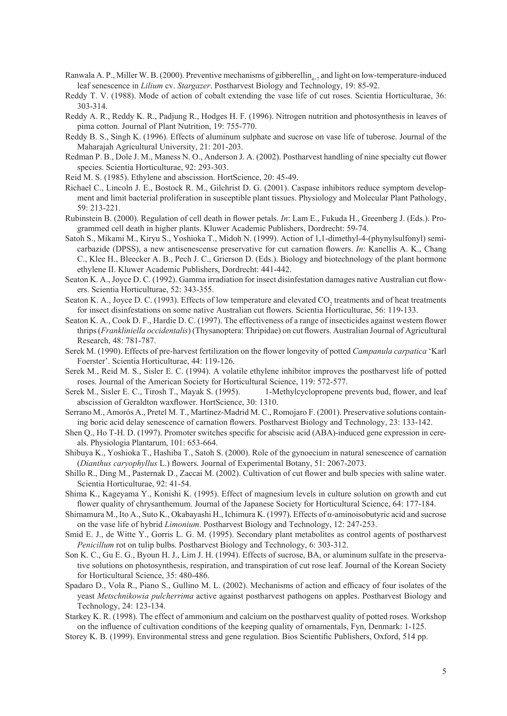- Ranwala A. P., Miller W. B. (2000). Preventive mechanisms of gibberellin<sub> $4+7$ </sub> and light on low-temperature-induced leaf senescence in *Lilium* cv. *Stargazer*. Postharvest Biology and Technology, 19: 85-92.
- Reddy T. V. (1988). Mode of action of cobalt extending the vase life of cut roses. Scientia Horticulturae, 36: 303-314.
- Reddy A. R., Reddy K. R., Padjung R., Hodges H. F. (1996). Nitrogen nutrition and photosynthesis in leaves of pima cotton. Journal of Plant Nutrition, 19: 755-770.
- Reddy B. S., Singh K. (1996). Effects of aluminum sulphate and sucrose on vase life of tuberose. Journal of the Maharajah Agricultural University, 21: 201-203.
- Redman P. B., Dole J. M., Maness N. O., Anderson J. A. (2002). Postharvest handling of nine specialty cut flower species. Scientia Horticulturae, 92: 293-303.
- Reid M. S. (1985). Ethylene and abscission. HortScience, 20: 45-49.
- Richael C., Lincoln J. E., Bostock R. M., Gilchrist D. G. (2001). Caspase inhibitors reduce symptom development and limit bacterial proliferation in susceptible plant tissues. Physiology and Molecular Plant Pathology, 59: 213-221.
- Rubinstein B. (2000). Regulation of cell death in flower petals. *In*: Lam E., Fukuda H., Greenberg J. (Eds.). Programmed cell death in higher plants. Kluwer Academic Publishers, Dordrecht: 59-74.
- Satoh S., Mikami M., Kiryu S., Yoshioka T., Midoh N. (1999). Action of 1,1-dimethyl-4-(phynylsulfonyl) semicarbazide (DPSS), a new antisenescense preservative for cut carnation flowers. *In*: Kanellis A. K., Chang C., Klee H., Bleecker A. B., Pech J. C., Grierson D. (Eds.). Biology and biotechnology of the plant hormone ethylene II. Kluwer Academic Publishers, Dordrecht: 441-442.
- Seaton K. A., Joyce D. C. (1992). Gamma irradiation for insect disinfestation damages native Australian cut flowers. Scientia Horticulturae, 52: 343-355.
- Seaton K. A., Joyce D. C. (1993). Effects of low temperature and elevated  $CO_2$  treatments and of heat treatments for insect disinfestations on some native Australian cut flowers. Scientia Horticulturae, 56: 119-133.
- Seaton K. A., Cook D. F., Hardie D. C. (1997). The effectiveness of a range of insecticides against western flower thrips (*Frankliniella occidentalis*) (Thysanoptera: Thripidae) on cut flowers. Australian Journal of Agricultural Research, 48: 781-787.
- Serek M. (1990). Effects of pre-harvest fertilization on the flower longevity of potted *Campanula carpatica* 'Karl Foerster'. Scientia Horticulturae, 44: 119-126.
- Serek M., Reid M. S., Sisler E. C. (1994). A volatile ethylene inhibitor improves the postharvest life of potted roses. Journal of the American Society for Horticultural Science, 119: 572-577.
- Serek M., Sisler E. C., Tirosh T., Mayak S. (1995). 1-Methylcyclopropene prevents bud, flower, and leaf abscission of Geraldton waxflower. HortScience, 30: 1310.
- Serrano M., Amorós A., Pretel M. T., Martínez-Madrid M. C., Romojaro F. (2001). Preservative solutions containing boric acid delay senescence of carnation flowers. Postharvest Biology and Technology, 23: 133-142.
- Shen Q., Ho T-H. D. (1997). Promoter switches specific for abscisic acid (ABA)-induced gene expression in cereals. Physiologia Plantarum, 101: 653-664.
- Shibuya K., Yoshioka T., Hashiba T., Satoh S. (2000). Role of the gynoecium in natural senescence of carnation (*Dianthus caryophyllus* L.) flowers. Journal of Experimental Botany, 51: 2067-2073.
- Shillo R., Ding M., Pasternak D., Zaccai M. (2002). Cultivation of cut flower and bulb species with saline water. Scientia Horticulturae, 92: 41-54.
- Shima K., Kageyama Y., Konishi K. (1995). Effect of magnesium levels in culture solution on growth and cut flower quality of chrysanthemum. Journal of the Japanese Society for Horticultural Science, 64: 177-184.
- Shimamura M., Ito A., Suto K., Okabayashi H., Ichimura K. (1997). Effects of α-aminoisobutyric acid and sucrose on the vase life of hybrid *Limonium*. Postharvest Biology and Technology, 12: 247-253.
- Smid E. J., de Witte Y., Gorris L. G. M. (1995). Secondary plant metabolites as control agents of postharvest *Penicillum* rot on tulip bulbs. Postharvest Biology and Technology, 6: 303-312.
- Son K. C., Gu E. G., Byoun H. J., Lim J. H. (1994). Effects of sucrose, BA, or aluminum sulfate in the preservative solutions on photosynthesis, respiration, and transpiration of cut rose leaf. Journal of the Korean Society for Horticultural Science, 35: 480-486.
- Spadaro D., Vola R., Piano S., Gullino M. L. (2002). Mechanisms of action and efficacy of four isolates of the yeast *Metschnikowia pulcherrima* active against postharvest pathogens on apples. Postharvest Biology and Technology, 24: 123-134.
- Starkey K. R. (1998). The effect of ammonium and calcium on the postharvest quality of potted roses. Workshop on the influence of cultivation conditions of the keeping quality of ornamentals, Fyn, Denmark: 1-125.
- Storey K. B. (1999). Environmental stress and gene regulation. Bios Scientific Publishers, Oxford, 514 pp.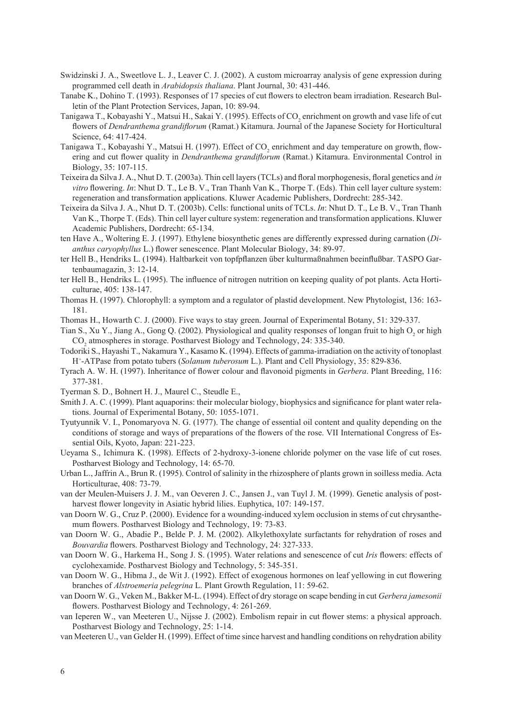- Swidzinski J. A., Sweetlove L. J., Leaver C. J. (2002). A custom microarray analysis of gene expression during programmed cell death in *Arabidopsis thaliana*. Plant Journal, 30: 431-446.
- Tanabe K., Dohino T. (1993). Responses of 17 species of cut flowers to electron beam irradiation. Research Bulletin of the Plant Protection Services, Japan, 10: 89-94.
- Tanigawa T., Kobayashi Y., Matsui H., Sakai Y. (1995). Effects of CO<sub>2</sub> enrichment on growth and vase life of cut flowers of *Dendranthema grandiflorum* (Ramat.) Kitamura. Journal of the Japanese Society for Horticultural Science, 64: 417-424.
- Tanigawa T., Kobayashi Y., Matsui H. (1997). Effect of  $CO_2$  enrichment and day temperature on growth, flowering and cut flower quality in *Dendranthema grandiflorum* (Ramat.) Kitamura. Environmental Control in Biology, 35: 107-115.
- Teixeira da Silva J. A., Nhut D. T. (2003a). Thin cell layers (TCLs) and floral morphogenesis, floral genetics and *in vitro* flowering. *In*: Nhut D. T., Le B. V., Tran Thanh Van K., Thorpe T. (Eds). Thin cell layer culture system: regeneration and transformation applications. Kluwer Academic Publishers, Dordrecht: 285-342.
- Teixeira da Silva J. A., Nhut D. T. (2003b). Cells: functional units of TCLs. *In*: Nhut D. T., Le B. V., Tran Thanh Van K., Thorpe T. (Eds). Thin cell layer culture system: regeneration and transformation applications. Kluwer Academic Publishers, Dordrecht: 65-134.
- ten Have A., Woltering E. J. (1997). Ethylene biosynthetic genes are differently expressed during carnation (*Dianthus caryophyllus* L.) flower senescence. Plant Molecular Biology, 34: 89-97.
- ter Hell B., Hendriks L. (1994). Haltbarkeit von topfpflanzen über kulturmaßnahmen beeinflußbar. TASPO Gartenbaumagazin, 3: 12-14.
- ter Hell B., Hendriks L. (1995). The influence of nitrogen nutrition on keeping quality of pot plants. Acta Horticulturae, 405: 138-147.
- Thomas H. (1997). Chlorophyll: a symptom and a regulator of plastid development. New Phytologist, 136: 163- 181.
- Thomas H., Howarth C. J. (2000). Five ways to stay green. Journal of Experimental Botany, 51: 329-337.
- Tian S., Xu Y., Jiang A., Gong Q. (2002). Physiological and quality responses of longan fruit to high  $O_2$  or high CO<sub>2</sub> atmospheres in storage. Postharvest Biology and Technology, 24: 335-340.
- Todoriki S., Hayashi T., Nakamura Y., Kasamo K. (1994). Effects of gamma-irradiation on the activity of tonoplast H<sup>+</sup> -ATPase from potato tubers (*Solanum tuberosum* L.). Plant and Cell Physiology, 35: 829-836.
- Tyrach A. W. H. (1997). Inheritance of flower colour and flavonoid pigments in *Gerbera*. Plant Breeding, 116: 377-381.
- Tyerman S. D., Bohnert H. J., Maurel C., Steudle E.,
- Smith J. A. C. (1999). Plant aquaporins: their molecular biology, biophysics and significance for plant water relations. Journal of Experimental Botany, 50: 1055-1071.
- Tyutyunnik V. I., Ponomaryova N. G. (1977). The change of essential oil content and quality depending on the conditions of storage and ways of preparations of the flowers of the rose. VII International Congress of Essential Oils, Kyoto, Japan: 221-223.
- Ueyama S., Ichimura K. (1998). Effects of 2-hydroxy-3-ionene chloride polymer on the vase life of cut roses. Postharvest Biology and Technology, 14: 65-70.
- Urban L., Jaffrin A., Brun R. (1995). Control of salinity in the rhizosphere of plants grown in soilless media. Acta Horticulturae, 408: 73-79.
- van der Meulen-Muisers J. J. M., van Oeveren J. C., Jansen J., van Tuyl J. M. (1999). Genetic analysis of postharvest flower longevity in Asiatic hybrid lilies. Euphytica, 107: 149-157.
- van Doorn W. G., Cruz P. (2000). Evidence for a wounding-induced xylem occlusion in stems of cut chrysanthemum flowers. Postharvest Biology and Technology, 19: 73-83.
- van Doorn W. G., Abadie P., Belde P. J. M. (2002). Alkylethoxylate surfactants for rehydration of roses and *Bouvardia* flowers. Postharvest Biology and Technology, 24: 327-333.
- van Doorn W. G., Harkema H., Song J. S. (1995). Water relations and senescence of cut *Iris* flowers: effects of cyclohexamide. Postharvest Biology and Technology, 5: 345-351.
- van Doorn W. G., Hibma J., de Wit J. (1992). Effect of exogenous hormones on leaf yellowing in cut flowering branches of *Alstroemeria pelegrina* L. Plant Growth Regulation, 11: 59-62.
- van Doorn W. G., Veken M., Bakker M-L. (1994). Effect of dry storage on scape bending in cut *Gerbera jamesonii* flowers. Postharvest Biology and Technology, 4: 261-269.
- van Ieperen W., van Meeteren U., Nijsse J. (2002). Embolism repair in cut flower stems: a physical approach. Postharvest Biology and Technology, 25: 1-14.
- van Meeteren U., van Gelder H. (1999). Effect of time since harvest and handling conditions on rehydration ability